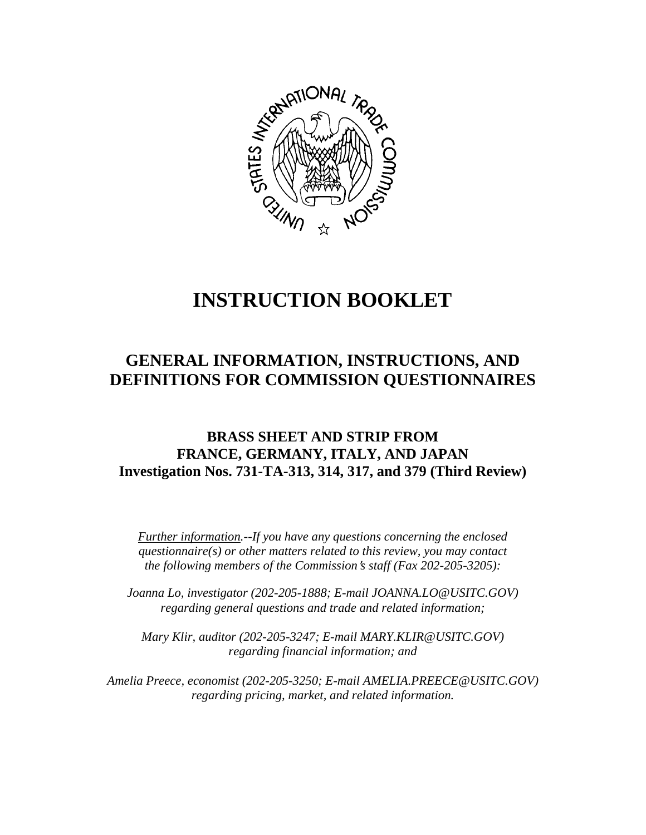

# **INSTRUCTION BOOKLET**

# **GENERAL INFORMATION, INSTRUCTIONS, AND DEFINITIONS FOR COMMISSION QUESTIONNAIRES**

## **BRASS SHEET AND STRIP FROM FRANCE, GERMANY, ITALY, AND JAPAN Investigation Nos. 731-TA-313, 314, 317, and 379 (Third Review)**

*Further information.--If you have any questions concerning the enclosed questionnaire(s) or other matters related to this review, you may contact the following members of the Commission's staff (Fax 202-205-3205):* 

*Joanna Lo, investigator (202-205-1888; E-mail JOANNA.LO@USITC.GOV) regarding general questions and trade and related information;* 

 *Mary Klir, auditor (202-205-3247; E-mail MARY.KLIR@USITC.GOV) regarding financial information; and* 

 *Amelia Preece, economist (202-205-3250; E-mail AMELIA.PREECE@USITC.GOV) regarding pricing, market, and related information.*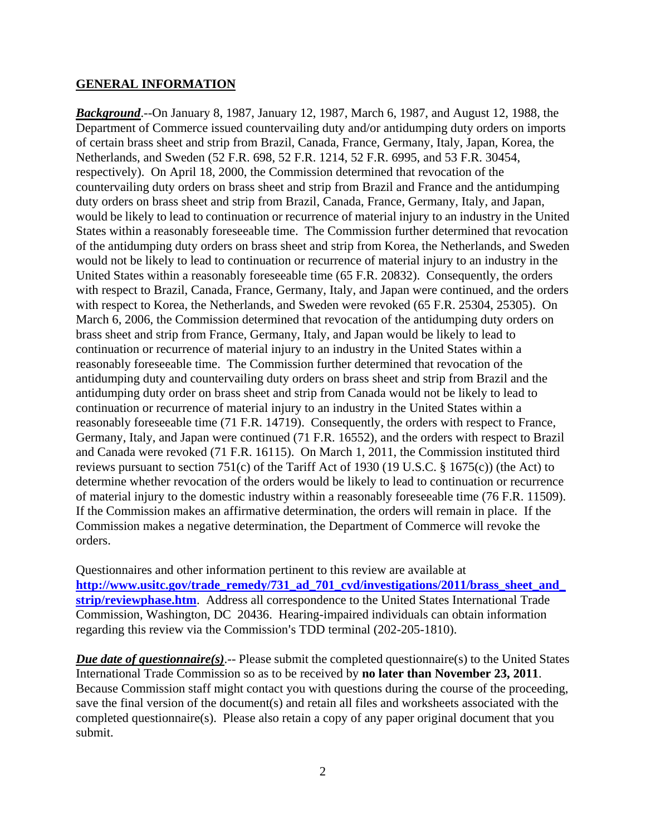#### **GENERAL INFORMATION**

*Background*.--On January 8, 1987, January 12, 1987, March 6, 1987, and August 12, 1988, the Department of Commerce issued countervailing duty and/or antidumping duty orders on imports of certain brass sheet and strip from Brazil, Canada, France, Germany, Italy, Japan, Korea, the Netherlands, and Sweden (52 F.R. 698, 52 F.R. 1214, 52 F.R. 6995, and 53 F.R. 30454, respectively). On April 18, 2000, the Commission determined that revocation of the countervailing duty orders on brass sheet and strip from Brazil and France and the antidumping duty orders on brass sheet and strip from Brazil, Canada, France, Germany, Italy, and Japan, would be likely to lead to continuation or recurrence of material injury to an industry in the United States within a reasonably foreseeable time. The Commission further determined that revocation of the antidumping duty orders on brass sheet and strip from Korea, the Netherlands, and Sweden would not be likely to lead to continuation or recurrence of material injury to an industry in the United States within a reasonably foreseeable time (65 F.R. 20832). Consequently, the orders with respect to Brazil, Canada, France, Germany, Italy, and Japan were continued, and the orders with respect to Korea, the Netherlands, and Sweden were revoked (65 F.R. 25304, 25305). On March 6, 2006, the Commission determined that revocation of the antidumping duty orders on brass sheet and strip from France, Germany, Italy, and Japan would be likely to lead to continuation or recurrence of material injury to an industry in the United States within a reasonably foreseeable time. The Commission further determined that revocation of the antidumping duty and countervailing duty orders on brass sheet and strip from Brazil and the antidumping duty order on brass sheet and strip from Canada would not be likely to lead to continuation or recurrence of material injury to an industry in the United States within a reasonably foreseeable time (71 F.R. 14719). Consequently, the orders with respect to France, Germany, Italy, and Japan were continued (71 F.R. 16552), and the orders with respect to Brazil and Canada were revoked (71 F.R. 16115). On March 1, 2011, the Commission instituted third reviews pursuant to section 751(c) of the Tariff Act of 1930 (19 U.S.C. § 1675(c)) (the Act) to determine whether revocation of the orders would be likely to lead to continuation or recurrence of material injury to the domestic industry within a reasonably foreseeable time (76 F.R. 11509). If the Commission makes an affirmative determination, the orders will remain in place. If the Commission makes a negative determination, the Department of Commerce will revoke the orders.

Questionnaires and other information pertinent to this review are available at **http://www.usitc.gov/trade\_remedy/731\_ad\_701\_cvd/investigations/2011/brass\_sheet\_and\_ strip/reviewphase.htm**. Address all correspondence to the United States International Trade Commission, Washington, DC 20436. Hearing-impaired individuals can obtain information regarding this review via the Commission's TDD terminal (202-205-1810).

*Due date of questionnaire(s).*-- Please submit the completed questionnaire(s) to the United States International Trade Commission so as to be received by **no later than November 23, 2011**. Because Commission staff might contact you with questions during the course of the proceeding, save the final version of the document(s) and retain all files and worksheets associated with the completed questionnaire(s). Please also retain a copy of any paper original document that you submit.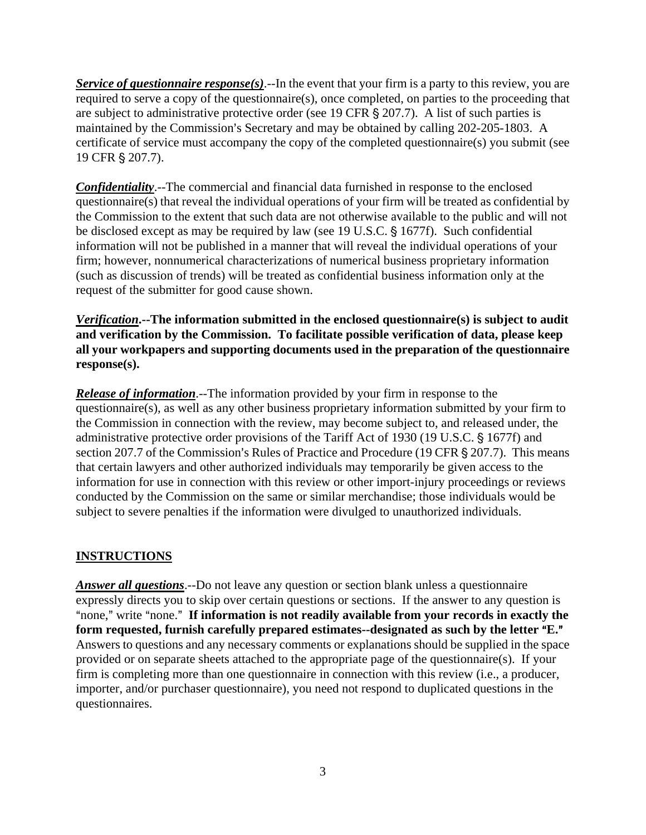*Service of questionnaire response(s)*.--In the event that your firm is a party to this review, you are required to serve a copy of the questionnaire(s), once completed, on parties to the proceeding that are subject to administrative protective order (see 19 CFR  $\S$  207.7). A list of such parties is maintained by the Commission's Secretary and may be obtained by calling 202-205-1803. A certificate of service must accompany the copy of the completed questionnaire(s) you submit (see 19 CFR § 207.7).

*Confidentiality*.--The commercial and financial data furnished in response to the enclosed questionnaire(s) that reveal the individual operations of your firm will be treated as confidential by the Commission to the extent that such data are not otherwise available to the public and will not be disclosed except as may be required by law (see 19 U.S.C. § 1677f). Such confidential information will not be published in a manner that will reveal the individual operations of your firm; however, nonnumerical characterizations of numerical business proprietary information (such as discussion of trends) will be treated as confidential business information only at the request of the submitter for good cause shown.

*Verification***.--The information submitted in the enclosed questionnaire(s) is subject to audit and verification by the Commission. To facilitate possible verification of data, please keep all your workpapers and supporting documents used in the preparation of the questionnaire response(s).**

*Release of information*.--The information provided by your firm in response to the questionnaire(s), as well as any other business proprietary information submitted by your firm to the Commission in connection with the review, may become subject to, and released under, the administrative protective order provisions of the Tariff Act of 1930 (19 U.S.C. § 1677f) and section 207.7 of the Commission's Rules of Practice and Procedure (19 CFR  $\S$  207.7). This means that certain lawyers and other authorized individuals may temporarily be given access to the information for use in connection with this review or other import-injury proceedings or reviews conducted by the Commission on the same or similar merchandise; those individuals would be subject to severe penalties if the information were divulged to unauthorized individuals.

### **INSTRUCTIONS**

*Answer all questions*.--Do not leave any question or section blank unless a questionnaire expressly directs you to skip over certain questions or sections. If the answer to any question is "none," write "none." If information is not readily available from your records in exactly the form requested, furnish carefully prepared estimates--designated as such by the letter "E." Answers to questions and any necessary comments or explanations should be supplied in the space provided or on separate sheets attached to the appropriate page of the questionnaire(s). If your firm is completing more than one questionnaire in connection with this review (i.e., a producer, importer, and/or purchaser questionnaire), you need not respond to duplicated questions in the questionnaires.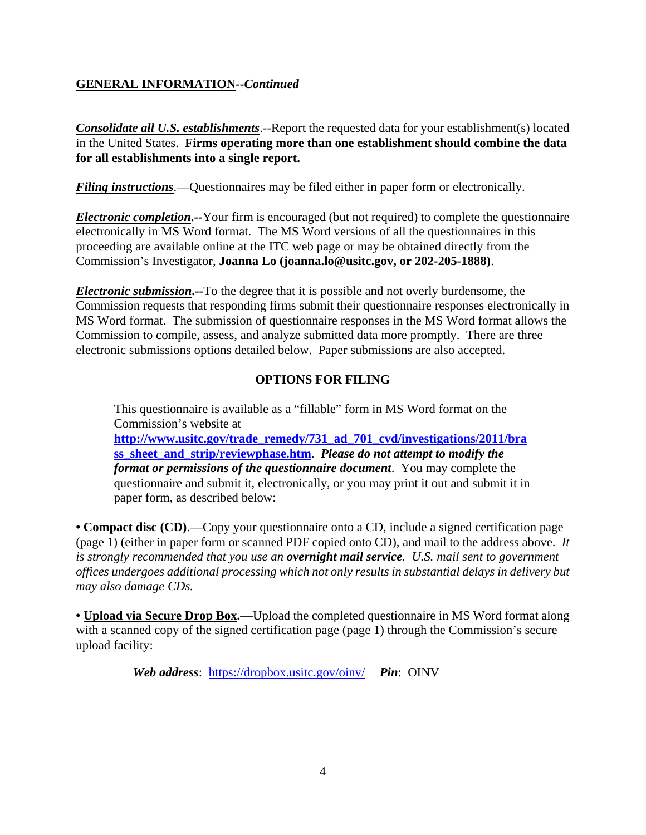#### **GENERAL INFORMATION--***Continued*

*Consolidate all U.S. establishments*.--Report the requested data for your establishment(s) located in the United States. **Firms operating more than one establishment should combine the data for all establishments into a single report.**

*Filing instructions*.—Questionnaires may be filed either in paper form or electronically.

*Electronic completion***.--**Your firm is encouraged (but not required) to complete the questionnaire electronically in MS Word format. The MS Word versions of all the questionnaires in this proceeding are available online at the ITC web page or may be obtained directly from the Commission's Investigator, **Joanna Lo (joanna.lo@usitc.gov, or 202-205-1888)**.

*Electronic submission***.--**To the degree that it is possible and not overly burdensome, the Commission requests that responding firms submit their questionnaire responses electronically in MS Word format. The submission of questionnaire responses in the MS Word format allows the Commission to compile, assess, and analyze submitted data more promptly. There are three electronic submissions options detailed below. Paper submissions are also accepted.

#### **OPTIONS FOR FILING**

This questionnaire is available as a "fillable" form in MS Word format on the Commission's website at **http://www.usitc.gov/trade\_remedy/731\_ad\_701\_cvd/investigations/2011/bra ss\_sheet\_and\_strip/reviewphase.htm**. *Please do not attempt to modify the format or permissions of the questionnaire document*. You may complete the questionnaire and submit it, electronically, or you may print it out and submit it in paper form, as described below:

**• Compact disc (CD)**.—Copy your questionnaire onto a CD, include a signed certification page (page 1) (either in paper form or scanned PDF copied onto CD), and mail to the address above. *It is strongly recommended that you use an overnight mail service. U.S. mail sent to government offices undergoes additional processing which not only results in substantial delays in delivery but may also damage CDs.* 

**• Upload via Secure Drop Box.**—Upload the completed questionnaire in MS Word format along with a scanned copy of the signed certification page (page 1) through the Commission's secure upload facility:

*Web address*: https://dropbox.usitc.gov/oinv/ *Pin*: OINV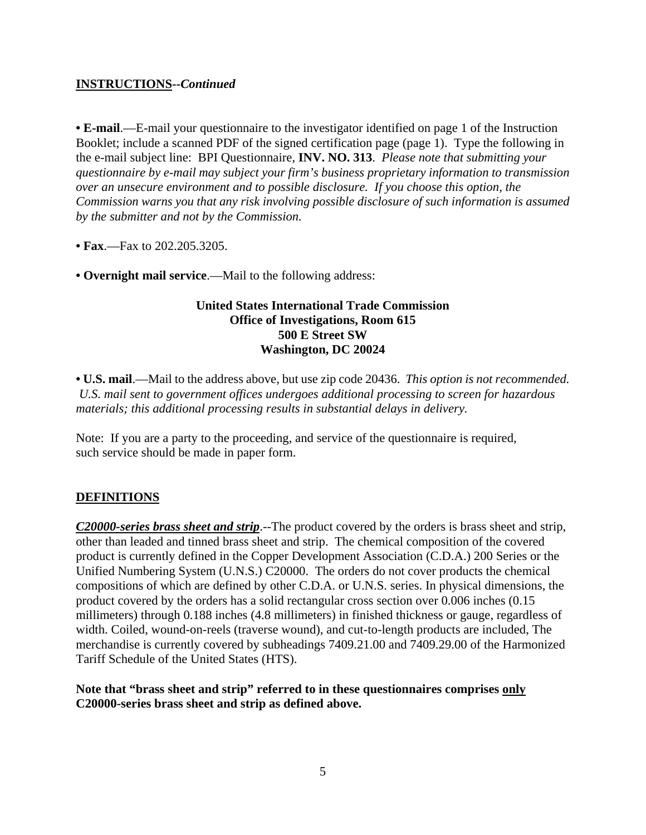#### **INSTRUCTIONS--***Continued*

**• E-mail**.—E-mail your questionnaire to the investigator identified on page 1 of the Instruction Booklet; include a scanned PDF of the signed certification page (page 1). Type the following in the e-mail subject line: BPI Questionnaire, **INV. NO. 313**. *Please note that submitting your questionnaire by e-mail may subject your firm's business proprietary information to transmission over an unsecure environment and to possible disclosure. If you choose this option, the Commission warns you that any risk involving possible disclosure of such information is assumed by the submitter and not by the Commission.* 

**• Fax**.—Fax to 202.205.3205.

**• Overnight mail service**.—Mail to the following address:

#### **United States International Trade Commission Office of Investigations, Room 615 500 E Street SW Washington, DC 20024**

**• U.S. mail**.—Mail to the address above, but use zip code 20436. *This option is not recommended. U.S. mail sent to government offices undergoes additional processing to screen for hazardous materials; this additional processing results in substantial delays in delivery.* 

Note: If you are a party to the proceeding, and service of the questionnaire is required, such service should be made in paper form.

#### **DEFINITIONS**

*C20000-series brass sheet and strip*.--The product covered by the orders is brass sheet and strip, other than leaded and tinned brass sheet and strip. The chemical composition of the covered product is currently defined in the Copper Development Association (C.D.A.) 200 Series or the Unified Numbering System (U.N.S.) C20000. The orders do not cover products the chemical compositions of which are defined by other C.D.A. or U.N.S. series. In physical dimensions, the product covered by the orders has a solid rectangular cross section over 0.006 inches (0.15 millimeters) through 0.188 inches (4.8 millimeters) in finished thickness or gauge, regardless of width. Coiled, wound-on-reels (traverse wound), and cut-to-length products are included, The merchandise is currently covered by subheadings 7409.21.00 and 7409.29.00 of the Harmonized Tariff Schedule of the United States (HTS).

#### **Note that "brass sheet and strip" referred to in these questionnaires comprises only C20000-series brass sheet and strip as defined above.**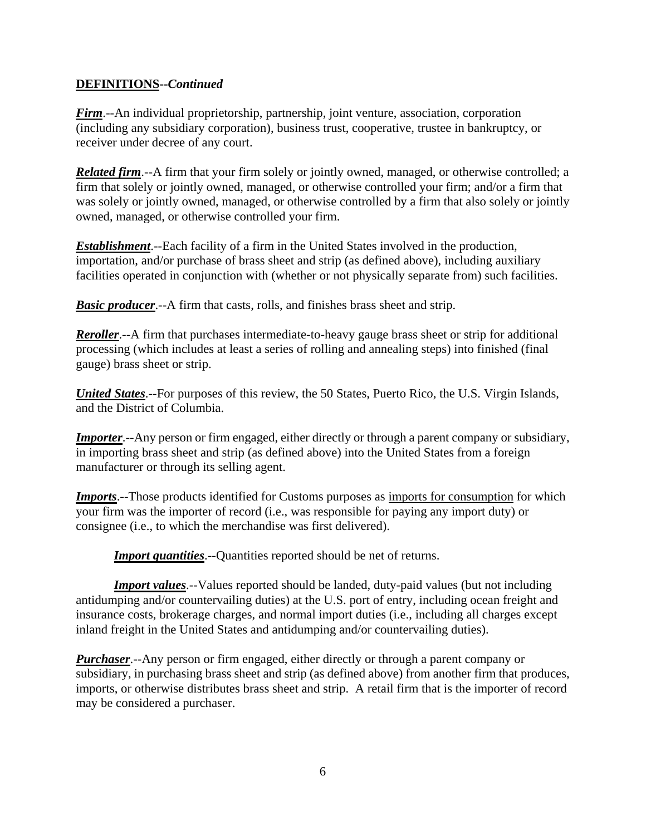#### **DEFINITIONS--***Continued*

*Firm*.--An individual proprietorship, partnership, joint venture, association, corporation (including any subsidiary corporation), business trust, cooperative, trustee in bankruptcy, or receiver under decree of any court.

*Related firm.*--A firm that your firm solely or jointly owned, managed, or otherwise controlled; a firm that solely or jointly owned, managed, or otherwise controlled your firm; and/or a firm that was solely or jointly owned, managed, or otherwise controlled by a firm that also solely or jointly owned, managed, or otherwise controlled your firm.

*Establishment*.--Each facility of a firm in the United States involved in the production, importation, and/or purchase of brass sheet and strip (as defined above), including auxiliary facilities operated in conjunction with (whether or not physically separate from) such facilities.

*Basic producer*.--A firm that casts, rolls, and finishes brass sheet and strip.

*Reroller*.--A firm that purchases intermediate-to-heavy gauge brass sheet or strip for additional processing (which includes at least a series of rolling and annealing steps) into finished (final gauge) brass sheet or strip.

*United States*.--For purposes of this review, the 50 States, Puerto Rico, the U.S. Virgin Islands, and the District of Columbia.

*Importer*.--Any person or firm engaged, either directly or through a parent company or subsidiary, in importing brass sheet and strip (as defined above) into the United States from a foreign manufacturer or through its selling agent.

**Imports**.--Those products identified for Customs purposes as <u>imports for consumption</u> for which your firm was the importer of record (i.e., was responsible for paying any import duty) or consignee (i.e., to which the merchandise was first delivered).

**Import quantities**.--Quantities reported should be net of returns.

**Import values**.--Values reported should be landed, duty-paid values (but not including antidumping and/or countervailing duties) at the U.S. port of entry, including ocean freight and insurance costs, brokerage charges, and normal import duties (i.e., including all charges except inland freight in the United States and antidumping and/or countervailing duties).

*Purchaser*.--Any person or firm engaged, either directly or through a parent company or subsidiary, in purchasing brass sheet and strip (as defined above) from another firm that produces, imports, or otherwise distributes brass sheet and strip. A retail firm that is the importer of record may be considered a purchaser.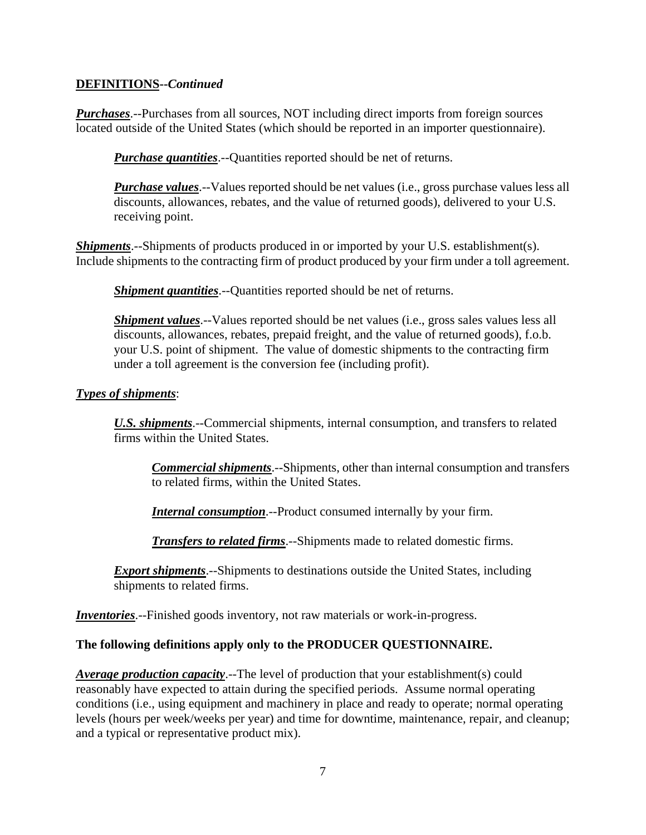#### **DEFINITIONS--***Continued*

*Purchases*.--Purchases from all sources, NOT including direct imports from foreign sources located outside of the United States (which should be reported in an importer questionnaire).

*Purchase quantities*.--Quantities reported should be net of returns.

*Purchase values*.--Values reported should be net values (i.e., gross purchase values less all discounts, allowances, rebates, and the value of returned goods), delivered to your U.S. receiving point.

*Shipments*.--Shipments of products produced in or imported by your U.S. establishment(s). Include shipments to the contracting firm of product produced by your firm under a toll agreement.

*Shipment quantities*.--Quantities reported should be net of returns.

*Shipment values*.--Values reported should be net values (*i.e.*, gross sales values less all discounts, allowances, rebates, prepaid freight, and the value of returned goods), f.o.b. your U.S. point of shipment. The value of domestic shipments to the contracting firm under a toll agreement is the conversion fee (including profit).

#### *Types of shipments*:

*U.S. shipments*.--Commercial shipments, internal consumption, and transfers to related firms within the United States.

*Commercial shipments*.--Shipments, other than internal consumption and transfers to related firms, within the United States.

*Internal consumption*.--Product consumed internally by your firm.

*Transfers to related firms*.--Shipments made to related domestic firms.

*Export shipments*.--Shipments to destinations outside the United States, including shipments to related firms.

*Inventories*.--Finished goods inventory, not raw materials or work-in-progress.

#### **The following definitions apply only to the PRODUCER QUESTIONNAIRE.**

*Average production capacity*.--The level of production that your establishment(s) could reasonably have expected to attain during the specified periods. Assume normal operating conditions (i.e., using equipment and machinery in place and ready to operate; normal operating levels (hours per week/weeks per year) and time for downtime, maintenance, repair, and cleanup; and a typical or representative product mix).